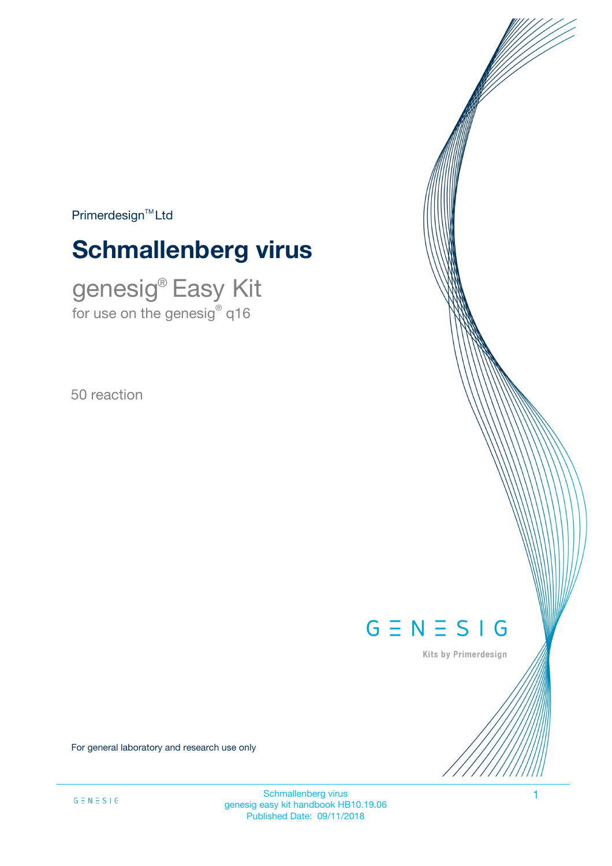$Primerdesign<sup>™</sup>Ltd$ 

# **Schmallenberg virus**

genesig® Easy Kit for use on the genesig $^\circ$  q16

50 reaction

# $G \equiv N \equiv S \mid G$

Kits by Primerdesign

For general laboratory and research use only

Schmallenberg virus 1 genesig easy kit handbook HB10.19.06 Published Date: 09/11/2018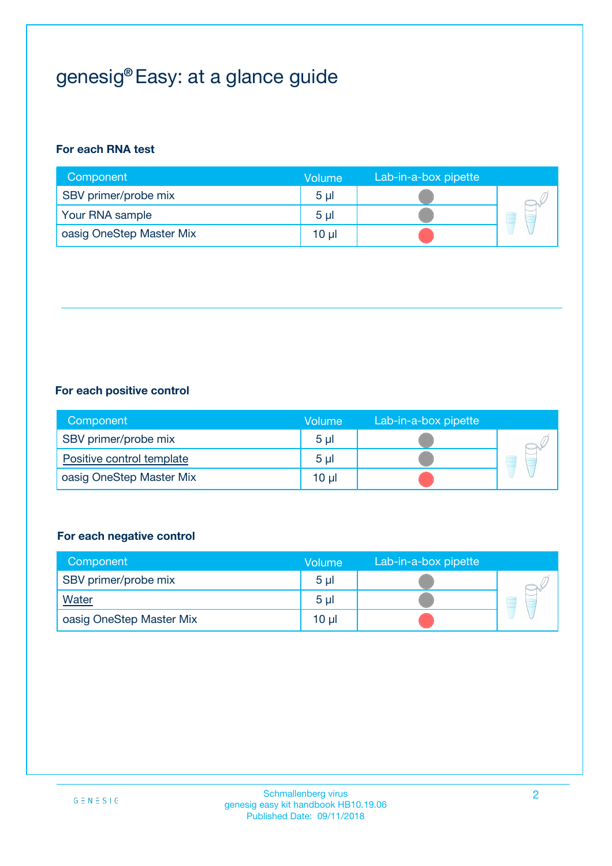## genesig® Easy: at a glance guide

#### **For each RNA test**

| Component                | <b>Volume</b>  | Lab-in-a-box pipette |  |
|--------------------------|----------------|----------------------|--|
| SBV primer/probe mix     | 5 <sub>µ</sub> |                      |  |
| Your RNA sample          | 5 <sub>µ</sub> |                      |  |
| oasig OneStep Master Mix | 10 µl          |                      |  |

#### **For each positive control**

| Component                 | Volume         | Lab-in-a-box pipette |  |
|---------------------------|----------------|----------------------|--|
| SBV primer/probe mix      | 5 <sub>µ</sub> |                      |  |
| Positive control template | 5 <sub>µ</sub> |                      |  |
| oasig OneStep Master Mix  | 10 µl          |                      |  |

#### **For each negative control**

| Component                | Volume         | Lab-in-a-box pipette |    |
|--------------------------|----------------|----------------------|----|
| SBV primer/probe mix     | 5 <sub>µ</sub> |                      |    |
| <b>Water</b>             | 5 <sub>µ</sub> |                      | ÷. |
| oasig OneStep Master Mix | 10 µl          |                      |    |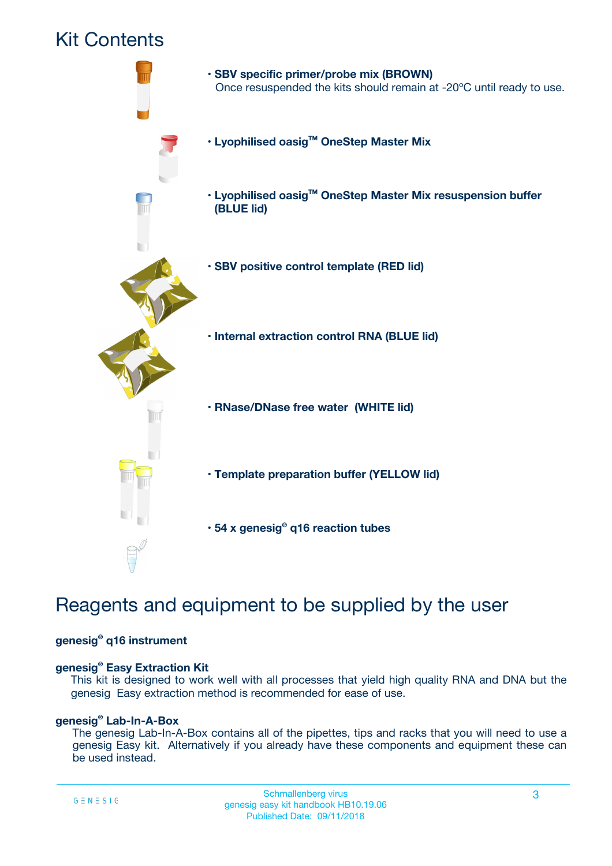### Kit Contents



## Reagents and equipment to be supplied by the user

#### **genesig® q16 instrument**

#### **genesig® Easy Extraction Kit**

This kit is designed to work well with all processes that yield high quality RNA and DNA but the genesig Easy extraction method is recommended for ease of use.

#### **genesig® Lab-In-A-Box**

The genesig Lab-In-A-Box contains all of the pipettes, tips and racks that you will need to use a genesig Easy kit. Alternatively if you already have these components and equipment these can be used instead.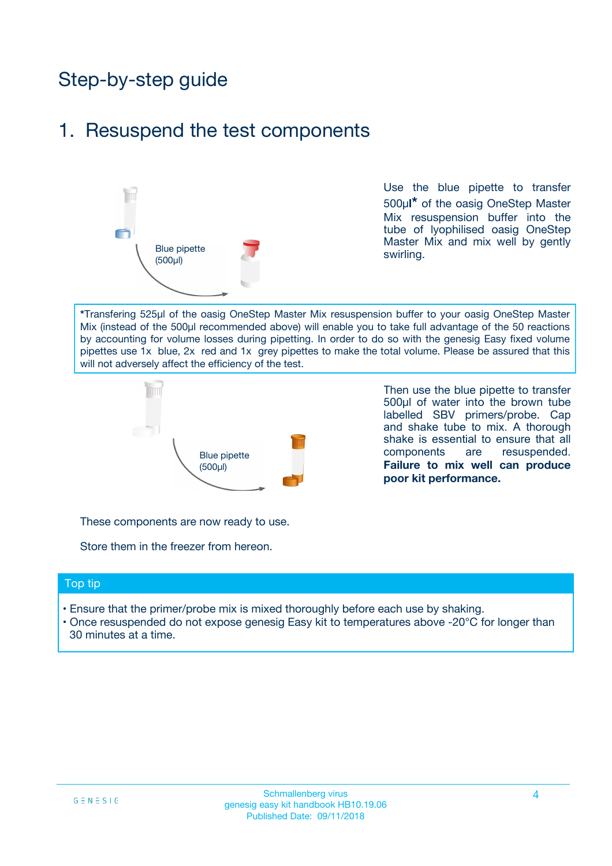## Step-by-step guide

### 1. Resuspend the test components



Use the blue pipette to transfer 500µ**l\*** of the oasig OneStep Master Mix resuspension buffer into the tube of lyophilised oasig OneStep Master Mix and mix well by gently swirling.

**\***Transfering 525µl of the oasig OneStep Master Mix resuspension buffer to your oasig OneStep Master Mix (instead of the 500µl recommended above) will enable you to take full advantage of the 50 reactions by accounting for volume losses during pipetting. In order to do so with the genesig Easy fixed volume pipettes use 1x blue, 2x red and 1x grey pipettes to make the total volume. Please be assured that this will not adversely affect the efficiency of the test.



Then use the blue pipette to transfer 500µl of water into the brown tube labelled SBV primers/probe. Cap and shake tube to mix. A thorough shake is essential to ensure that all components are resuspended. **Failure to mix well can produce poor kit performance.**

These components are now ready to use.

Store them in the freezer from hereon.

#### Top tip

- Ensure that the primer/probe mix is mixed thoroughly before each use by shaking.
- Once resuspended do not expose genesig Easy kit to temperatures above -20°C for longer than 30 minutes at a time.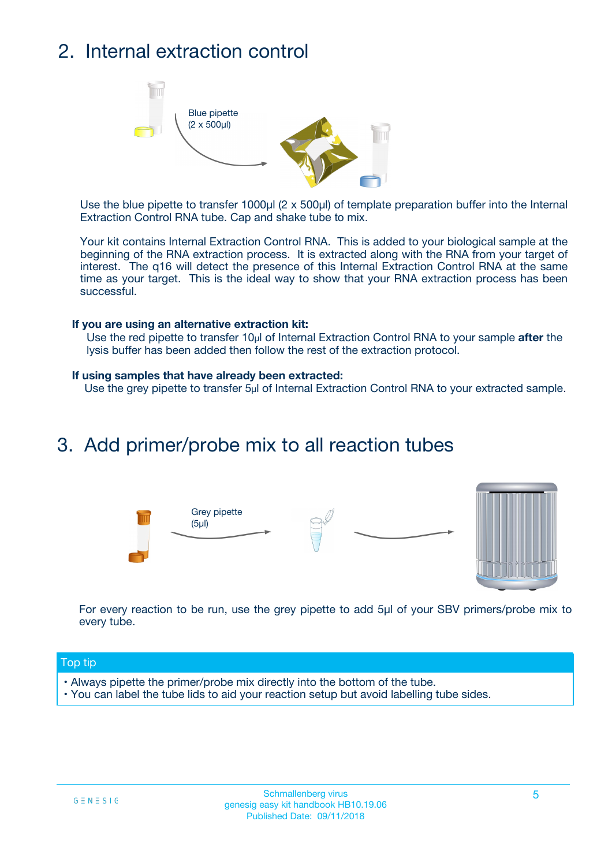## 2. Internal extraction control



Use the blue pipette to transfer 1000µl (2 x 500µl) of template preparation buffer into the Internal Extraction Control RNA tube. Cap and shake tube to mix.

Your kit contains Internal Extraction Control RNA. This is added to your biological sample at the beginning of the RNA extraction process. It is extracted along with the RNA from your target of interest. The q16 will detect the presence of this Internal Extraction Control RNA at the same time as your target. This is the ideal way to show that your RNA extraction process has been successful.

#### **If you are using an alternative extraction kit:**

Use the red pipette to transfer 10µl of Internal Extraction Control RNA to your sample **after** the lysis buffer has been added then follow the rest of the extraction protocol.

#### **If using samples that have already been extracted:**

Use the grey pipette to transfer 5µl of Internal Extraction Control RNA to your extracted sample.

### 3. Add primer/probe mix to all reaction tubes





For every reaction to be run, use the grey pipette to add 5µl of your SBV primers/probe mix to every tube.

#### Top tip

- Always pipette the primer/probe mix directly into the bottom of the tube.
- You can label the tube lids to aid your reaction setup but avoid labelling tube sides.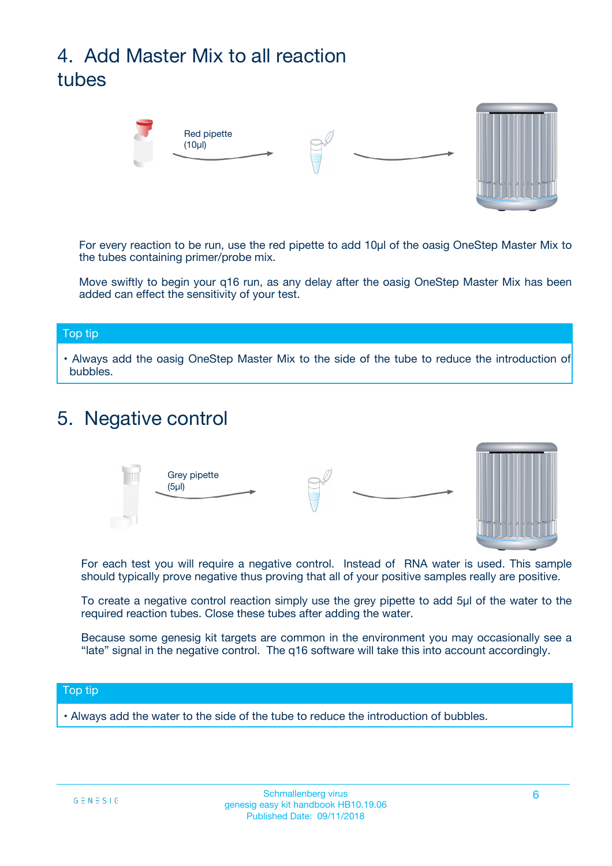## 4. Add Master Mix to all reaction tubes



For every reaction to be run, use the red pipette to add 10µl of the oasig OneStep Master Mix to the tubes containing primer/probe mix.

Move swiftly to begin your q16 run, as any delay after the oasig OneStep Master Mix has been added can effect the sensitivity of your test.

#### Top tip

**•** Always add the oasig OneStep Master Mix to the side of the tube to reduce the introduction of bubbles.

### 5. Negative control



For each test you will require a negative control. Instead of RNA water is used. This sample should typically prove negative thus proving that all of your positive samples really are positive.

To create a negative control reaction simply use the grey pipette to add 5µl of the water to the required reaction tubes. Close these tubes after adding the water.

Because some genesig kit targets are common in the environment you may occasionally see a "late" signal in the negative control. The q16 software will take this into account accordingly.

#### Top tip

**•** Always add the water to the side of the tube to reduce the introduction of bubbles.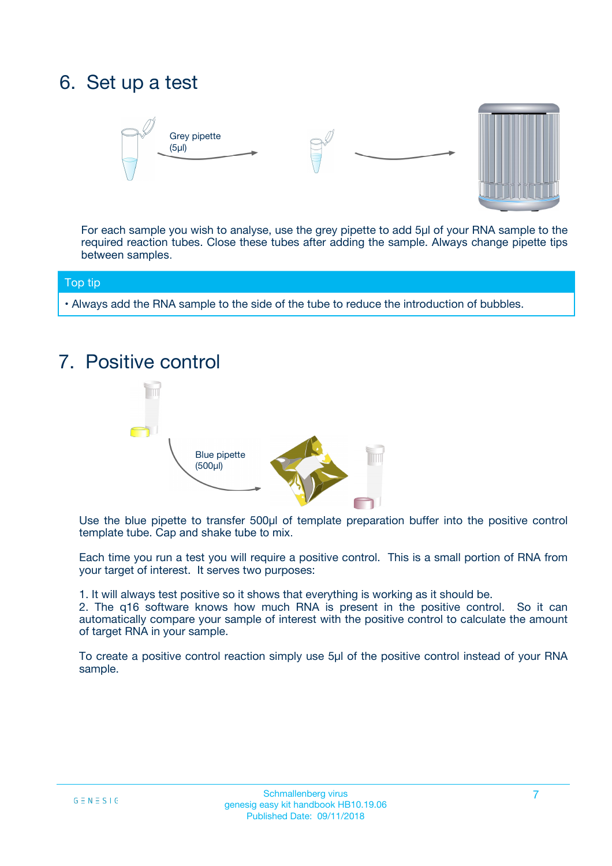## 6. Set up a test





For each sample you wish to analyse, use the grey pipette to add 5µl of your RNA sample to the required reaction tubes. Close these tubes after adding the sample. Always change pipette tips between samples.

#### Top tip

**•** Always add the RNA sample to the side of the tube to reduce the introduction of bubbles.

## 7. Positive control



Use the blue pipette to transfer 500µl of template preparation buffer into the positive control template tube. Cap and shake tube to mix.

Each time you run a test you will require a positive control. This is a small portion of RNA from your target of interest. It serves two purposes:

1. It will always test positive so it shows that everything is working as it should be.

2. The q16 software knows how much RNA is present in the positive control. So it can automatically compare your sample of interest with the positive control to calculate the amount of target RNA in your sample.

To create a positive control reaction simply use 5µl of the positive control instead of your RNA sample.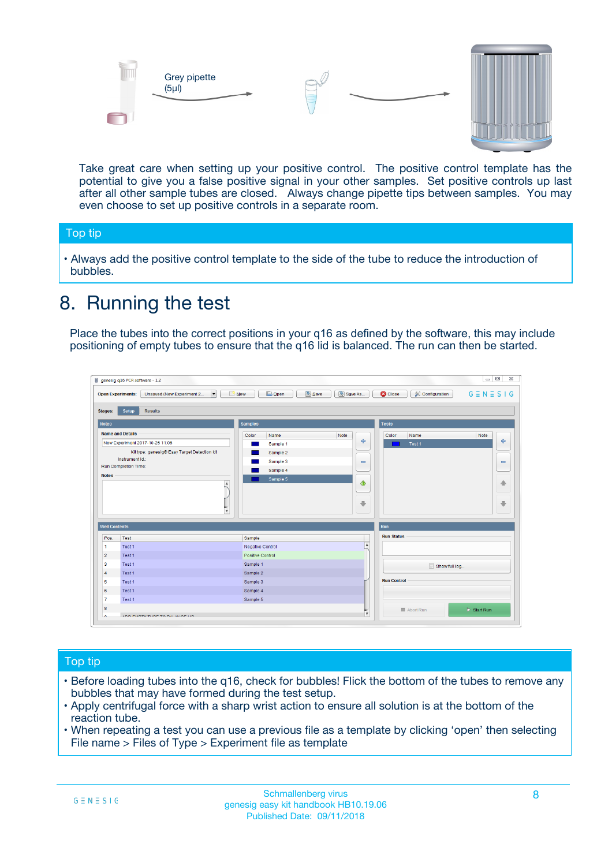



Take great care when setting up your positive control. The positive control template has the potential to give you a false positive signal in your other samples. Set positive controls up last after all other sample tubes are closed. Always change pipette tips between samples. You may even choose to set up positive controls in a separate room.

#### Top tip

**•** Always add the positive control template to the side of the tube to reduce the introduction of bubbles.

## 8. Running the test

Place the tubes into the correct positions in your q16 as defined by the software, this may include positioning of empty tubes to ensure that the q16 lid is balanced. The run can then be started.

|                                                | genesig q16 PCR software - 1.2<br><b>Open Experiments:</b><br>Unsaved (New Experiment 2<br>$\overline{\phantom{a}}$                                                                                  | <b>E</b> Open<br><b>Save</b><br>Save As<br>$\sqrt{2}$ New                                                                | $\Box$<br>$\Sigma\!3$<br>$G \equiv N \equiv S \mid G$<br><b>C</b> Close<br><b>&amp; Configuration</b> |
|------------------------------------------------|------------------------------------------------------------------------------------------------------------------------------------------------------------------------------------------------------|--------------------------------------------------------------------------------------------------------------------------|-------------------------------------------------------------------------------------------------------|
| <b>Stages:</b><br><b>Notes</b>                 | Setup<br><b>Results</b>                                                                                                                                                                              | <b>Samples</b>                                                                                                           | <b>Tests</b>                                                                                          |
| <b>Notes</b>                                   | <b>Name and Details</b><br>New Experiment 2017-10-26 11:06<br>Kit type: genesig® Easy Target Detection kit<br>Instrument Id.:<br>Run Completion Time:<br>$\blacktriangle$<br>$\overline{\mathbf{v}}$ | Color<br>Name<br>Note<br>على<br>Sample 1<br>Sample 2<br>Sample 3<br>$\equiv$<br>Sample 4<br>Sample 5<br>$\bigoplus$<br>÷ | Color<br>Name<br>Note<br>÷<br>Test 1<br>$\equiv$<br>41<br>⊕                                           |
| <b>Well Contents</b>                           |                                                                                                                                                                                                      |                                                                                                                          | Run                                                                                                   |
| Pos.<br>$\blacktriangleleft$<br>$\overline{2}$ | Test<br>Test 1<br>Test 1                                                                                                                                                                             | Sample<br>Negative Control<br>Positive Control                                                                           | <b>Run Status</b><br>$\blacktriangle$                                                                 |
| 3<br>$\overline{4}$                            | Test 1<br>Test 1                                                                                                                                                                                     | Sample 1<br>Sample 2                                                                                                     | Show full log                                                                                         |
| 5<br>6<br>$\overline{7}$                       | Test 1<br>Test <sub>1</sub><br>Test 1                                                                                                                                                                | Sample 3<br>Sample 4<br>Sample 5                                                                                         | <b>Run Control</b>                                                                                    |
| 8<br>∽                                         | <b>JOD FURTY TUDE TO BALAMOE UP.</b>                                                                                                                                                                 |                                                                                                                          | $\triangleright$ Start Run<br>■ Abort Run<br>$\boldsymbol{\mathrm{v}}$                                |

#### Top tip

- Before loading tubes into the q16, check for bubbles! Flick the bottom of the tubes to remove any bubbles that may have formed during the test setup.
- Apply centrifugal force with a sharp wrist action to ensure all solution is at the bottom of the reaction tube.
- When repeating a test you can use a previous file as a template by clicking 'open' then selecting File name > Files of Type > Experiment file as template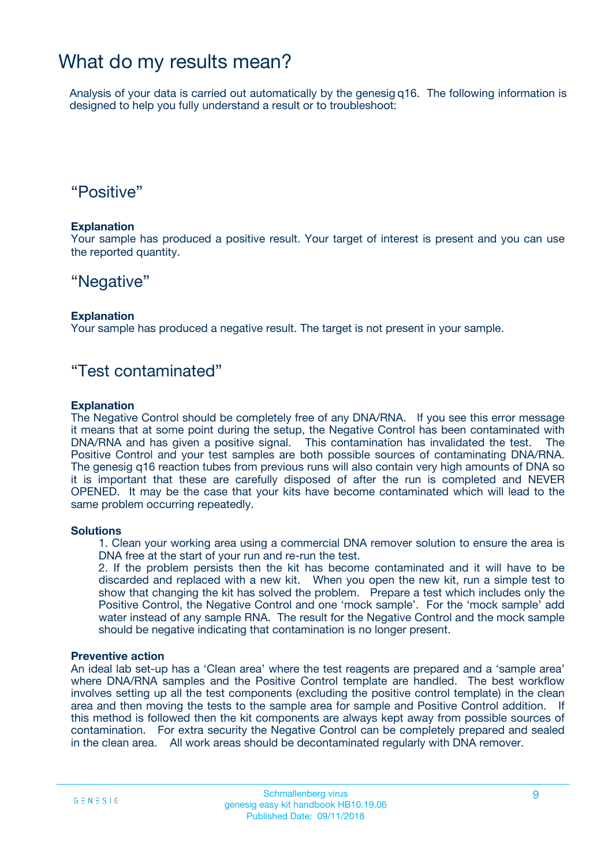### What do my results mean?

Analysis of your data is carried out automatically by the genesig q16. The following information is designed to help you fully understand a result or to troubleshoot:

### "Positive"

#### **Explanation**

Your sample has produced a positive result. Your target of interest is present and you can use the reported quantity.

### "Negative"

#### **Explanation**

Your sample has produced a negative result. The target is not present in your sample.

### "Test contaminated"

#### **Explanation**

The Negative Control should be completely free of any DNA/RNA. If you see this error message it means that at some point during the setup, the Negative Control has been contaminated with DNA/RNA and has given a positive signal. This contamination has invalidated the test. The Positive Control and your test samples are both possible sources of contaminating DNA/RNA. The genesig q16 reaction tubes from previous runs will also contain very high amounts of DNA so it is important that these are carefully disposed of after the run is completed and NEVER OPENED. It may be the case that your kits have become contaminated which will lead to the same problem occurring repeatedly.

#### **Solutions**

1. Clean your working area using a commercial DNA remover solution to ensure the area is DNA free at the start of your run and re-run the test.

2. If the problem persists then the kit has become contaminated and it will have to be discarded and replaced with a new kit. When you open the new kit, run a simple test to show that changing the kit has solved the problem. Prepare a test which includes only the Positive Control, the Negative Control and one 'mock sample'. For the 'mock sample' add water instead of any sample RNA. The result for the Negative Control and the mock sample should be negative indicating that contamination is no longer present.

#### **Preventive action**

An ideal lab set-up has a 'Clean area' where the test reagents are prepared and a 'sample area' where DNA/RNA samples and the Positive Control template are handled. The best workflow involves setting up all the test components (excluding the positive control template) in the clean area and then moving the tests to the sample area for sample and Positive Control addition. If this method is followed then the kit components are always kept away from possible sources of contamination. For extra security the Negative Control can be completely prepared and sealed in the clean area. All work areas should be decontaminated regularly with DNA remover.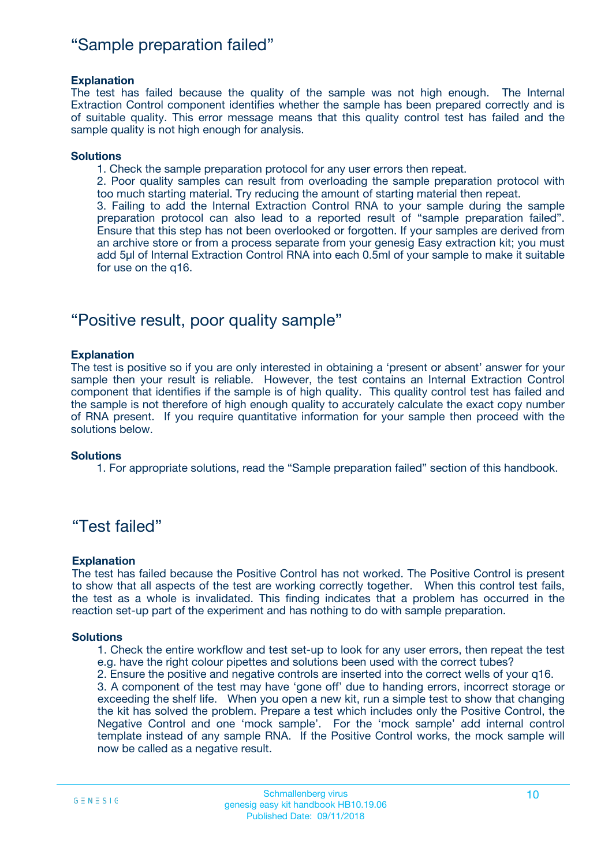### "Sample preparation failed"

#### **Explanation**

The test has failed because the quality of the sample was not high enough. The Internal Extraction Control component identifies whether the sample has been prepared correctly and is of suitable quality. This error message means that this quality control test has failed and the sample quality is not high enough for analysis.

#### **Solutions**

1. Check the sample preparation protocol for any user errors then repeat.

2. Poor quality samples can result from overloading the sample preparation protocol with too much starting material. Try reducing the amount of starting material then repeat.

3. Failing to add the Internal Extraction Control RNA to your sample during the sample preparation protocol can also lead to a reported result of "sample preparation failed". Ensure that this step has not been overlooked or forgotten. If your samples are derived from an archive store or from a process separate from your genesig Easy extraction kit; you must add 5µl of Internal Extraction Control RNA into each 0.5ml of your sample to make it suitable for use on the q16.

### "Positive result, poor quality sample"

#### **Explanation**

The test is positive so if you are only interested in obtaining a 'present or absent' answer for your sample then your result is reliable. However, the test contains an Internal Extraction Control component that identifies if the sample is of high quality. This quality control test has failed and the sample is not therefore of high enough quality to accurately calculate the exact copy number of RNA present. If you require quantitative information for your sample then proceed with the solutions below.

#### **Solutions**

1. For appropriate solutions, read the "Sample preparation failed" section of this handbook.

### "Test failed"

#### **Explanation**

The test has failed because the Positive Control has not worked. The Positive Control is present to show that all aspects of the test are working correctly together. When this control test fails, the test as a whole is invalidated. This finding indicates that a problem has occurred in the reaction set-up part of the experiment and has nothing to do with sample preparation.

#### **Solutions**

- 1. Check the entire workflow and test set-up to look for any user errors, then repeat the test e.g. have the right colour pipettes and solutions been used with the correct tubes?
- 2. Ensure the positive and negative controls are inserted into the correct wells of your q16.

3. A component of the test may have 'gone off' due to handing errors, incorrect storage or exceeding the shelf life. When you open a new kit, run a simple test to show that changing the kit has solved the problem. Prepare a test which includes only the Positive Control, the Negative Control and one 'mock sample'. For the 'mock sample' add internal control template instead of any sample RNA. If the Positive Control works, the mock sample will now be called as a negative result.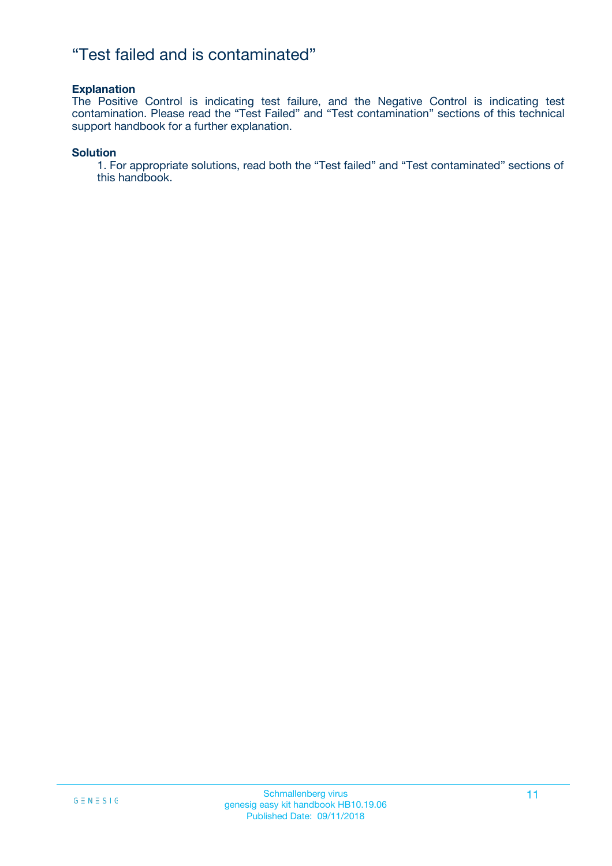### "Test failed and is contaminated"

#### **Explanation**

The Positive Control is indicating test failure, and the Negative Control is indicating test contamination. Please read the "Test Failed" and "Test contamination" sections of this technical support handbook for a further explanation.

#### **Solution**

1. For appropriate solutions, read both the "Test failed" and "Test contaminated" sections of this handbook.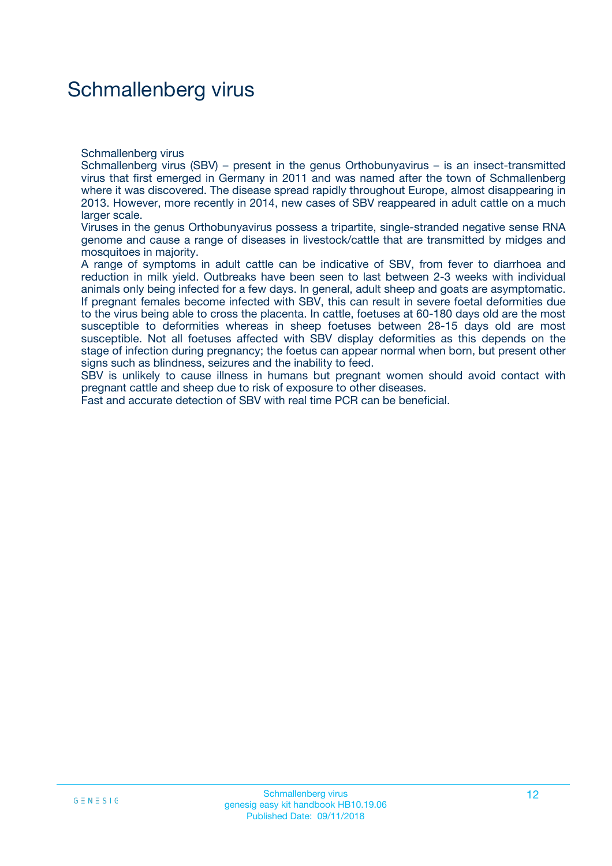## Schmallenberg virus

Schmallenberg virus

Schmallenberg virus (SBV) – present in the genus Orthobunyavirus – is an insect-transmitted virus that first emerged in Germany in 2011 and was named after the town of Schmallenberg where it was discovered. The disease spread rapidly throughout Europe, almost disappearing in 2013. However, more recently in 2014, new cases of SBV reappeared in adult cattle on a much larger scale.

Viruses in the genus Orthobunyavirus possess a tripartite, single-stranded negative sense RNA genome and cause a range of diseases in livestock/cattle that are transmitted by midges and mosquitoes in majority.

A range of symptoms in adult cattle can be indicative of SBV, from fever to diarrhoea and reduction in milk yield. Outbreaks have been seen to last between 2-3 weeks with individual animals only being infected for a few days. In general, adult sheep and goats are asymptomatic. If pregnant females become infected with SBV, this can result in severe foetal deformities due to the virus being able to cross the placenta. In cattle, foetuses at 60-180 days old are the most susceptible to deformities whereas in sheep foetuses between 28-15 days old are most susceptible. Not all foetuses affected with SBV display deformities as this depends on the stage of infection during pregnancy; the foetus can appear normal when born, but present other signs such as blindness, seizures and the inability to feed.

SBV is unlikely to cause illness in humans but pregnant women should avoid contact with pregnant cattle and sheep due to risk of exposure to other diseases.

Fast and accurate detection of SBV with real time PCR can be beneficial.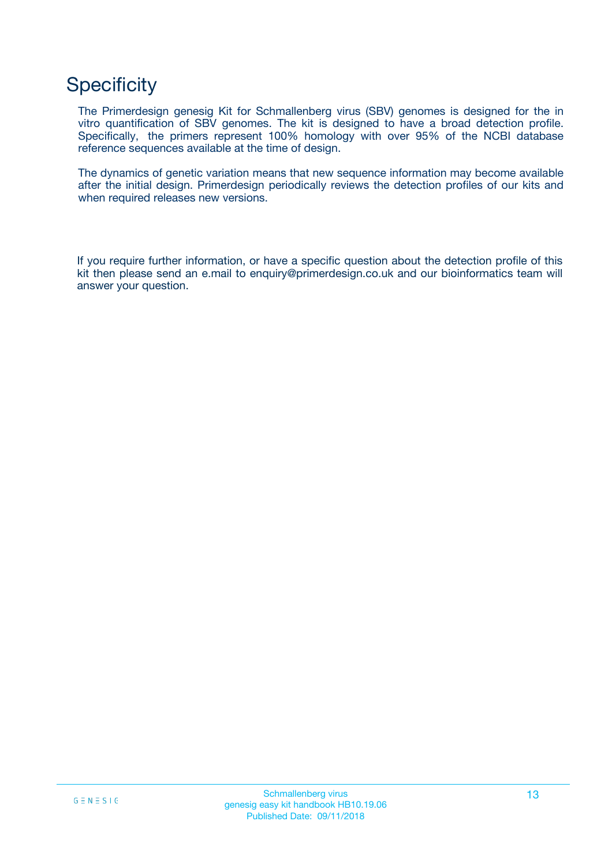## **Specificity**

The Primerdesign genesig Kit for Schmallenberg virus (SBV) genomes is designed for the in vitro quantification of SBV genomes. The kit is designed to have a broad detection profile. Specifically, the primers represent 100% homology with over 95% of the NCBI database reference sequences available at the time of design.

The dynamics of genetic variation means that new sequence information may become available after the initial design. Primerdesign periodically reviews the detection profiles of our kits and when required releases new versions.

If you require further information, or have a specific question about the detection profile of this kit then please send an e.mail to enquiry@primerdesign.co.uk and our bioinformatics team will answer your question.